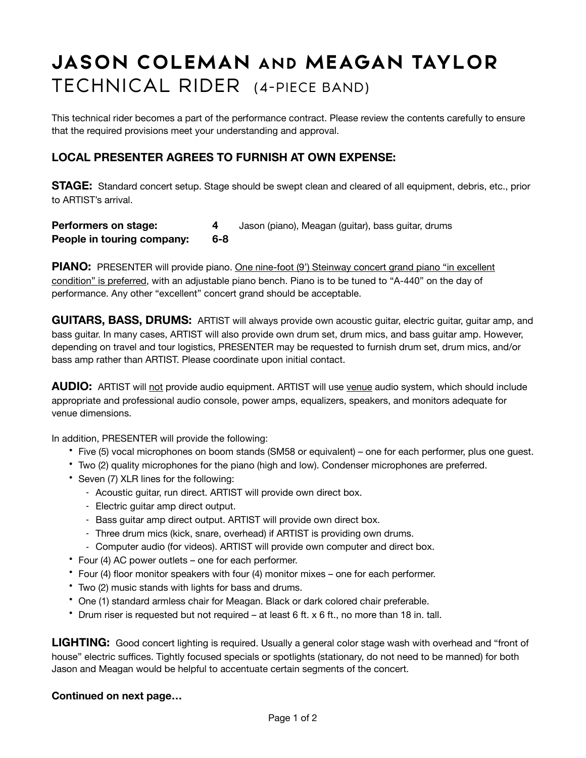## **JASON COLEMAN AND MEAGAN TAYLOR** TECHNICAL RIDER (4-PIECE BAND)

This technical rider becomes a part of the performance contract. Please review the contents carefully to ensure that the required provisions meet your understanding and approval.

## **LOCAL PRESENTER AGREES TO FURNISH AT OWN EXPENSE:**

**STAGE:** Standard concert setup. Stage should be swept clean and cleared of all equipment, debris, etc., prior to ARTIST's arrival.

| Performers on stage:       |     | Jason (piano), Meagan (guitar), bass guitar, drums |
|----------------------------|-----|----------------------------------------------------|
| People in touring company: | 6-8 |                                                    |

**PIANO:** PRESENTER will provide piano. One nine-foot (9') Steinway concert grand piano "in excellent condition" is preferred, with an adjustable piano bench. Piano is to be tuned to "A-440" on the day of performance. Any other "excellent" concert grand should be acceptable.

**GUITARS, BASS, DRUMS:** ARTIST will always provide own acoustic guitar, electric guitar, guitar amp, and bass guitar. In many cases, ARTIST will also provide own drum set, drum mics, and bass guitar amp. However, depending on travel and tour logistics, PRESENTER may be requested to furnish drum set, drum mics, and/or bass amp rather than ARTIST. Please coordinate upon initial contact.

AUDIO: ARTIST will not provide audio equipment. ARTIST will use venue audio system, which should include appropriate and professional audio console, power amps, equalizers, speakers, and monitors adequate for venue dimensions.

In addition, PRESENTER will provide the following:

- Five (5) vocal microphones on boom stands (SM58 or equivalent) one for each performer, plus one guest.
- Two (2) quality microphones for the piano (high and low). Condenser microphones are preferred.
- Seven (7) XLR lines for the following:
	- Acoustic guitar, run direct. ARTIST will provide own direct box.
	- Electric guitar amp direct output.
	- Bass guitar amp direct output. ARTIST will provide own direct box.
	- Three drum mics (kick, snare, overhead) if ARTIST is providing own drums.
	- Computer audio (for videos). ARTIST will provide own computer and direct box.
- Four (4) AC power outlets one for each performer.
- Four (4) floor monitor speakers with four (4) monitor mixes one for each performer.
- Two (2) music stands with lights for bass and drums.
- One (1) standard armless chair for Meagan. Black or dark colored chair preferable.
- Drum riser is requested but not required at least 6 ft. x 6 ft., no more than 18 in. tall.

**LIGHTING:** Good concert lighting is required. Usually a general color stage wash with overhead and "front of house" electric suffices. Tightly focused specials or spotlights (stationary, do not need to be manned) for both Jason and Meagan would be helpful to accentuate certain segments of the concert.

## **Continued on next page…**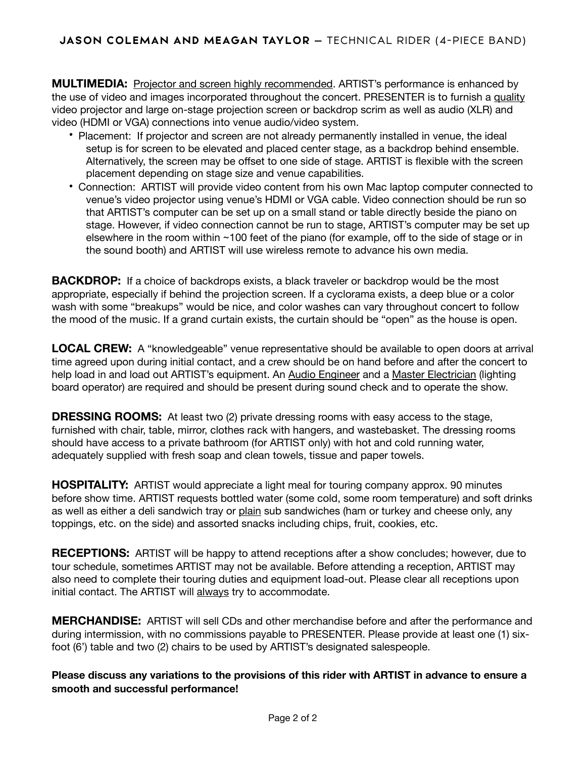**MULTIMEDIA:** Projector and screen highly recommended. ARTIST's performance is enhanced by the use of video and images incorporated throughout the concert. PRESENTER is to furnish a quality video projector and large on-stage projection screen or backdrop scrim as well as audio (XLR) and video (HDMI or VGA) connections into venue audio/video system.

- Placement: If projector and screen are not already permanently installed in venue, the ideal setup is for screen to be elevated and placed center stage, as a backdrop behind ensemble. Alternatively, the screen may be offset to one side of stage. ARTIST is flexible with the screen placement depending on stage size and venue capabilities.
- Connection: ARTIST will provide video content from his own Mac laptop computer connected to venue's video projector using venue's HDMI or VGA cable. Video connection should be run so that ARTIST's computer can be set up on a small stand or table directly beside the piano on stage. However, if video connection cannot be run to stage, ARTIST's computer may be set up elsewhere in the room within ~100 feet of the piano (for example, off to the side of stage or in the sound booth) and ARTIST will use wireless remote to advance his own media.

**BACKDROP:** If a choice of backdrops exists, a black traveler or backdrop would be the most appropriate, especially if behind the projection screen. If a cyclorama exists, a deep blue or a color wash with some "breakups" would be nice, and color washes can vary throughout concert to follow the mood of the music. If a grand curtain exists, the curtain should be "open" as the house is open.

**LOCAL CREW:** A "knowledgeable" venue representative should be available to open doors at arrival time agreed upon during initial contact, and a crew should be on hand before and after the concert to help load in and load out ARTIST's equipment. An Audio Engineer and a Master Electrician (lighting board operator) are required and should be present during sound check and to operate the show.

**DRESSING ROOMS:** At least two (2) private dressing rooms with easy access to the stage, furnished with chair, table, mirror, clothes rack with hangers, and wastebasket. The dressing rooms should have access to a private bathroom (for ARTIST only) with hot and cold running water, adequately supplied with fresh soap and clean towels, tissue and paper towels.

**HOSPITALITY:** ARTIST would appreciate a light meal for touring company approx. 90 minutes before show time. ARTIST requests bottled water (some cold, some room temperature) and soft drinks as well as either a deli sandwich tray or plain sub sandwiches (ham or turkey and cheese only, any toppings, etc. on the side) and assorted snacks including chips, fruit, cookies, etc.

**RECEPTIONS:** ARTIST will be happy to attend receptions after a show concludes; however, due to tour schedule, sometimes ARTIST may not be available. Before attending a reception, ARTIST may also need to complete their touring duties and equipment load-out. Please clear all receptions upon initial contact. The ARTIST will always try to accommodate.

**MERCHANDISE:** ARTIST will sell CDs and other merchandise before and after the performance and during intermission, with no commissions payable to PRESENTER. Please provide at least one (1) sixfoot (6') table and two (2) chairs to be used by ARTIST's designated salespeople.

**Please discuss any variations to the provisions of this rider with ARTIST in advance to ensure a smooth and successful performance!**